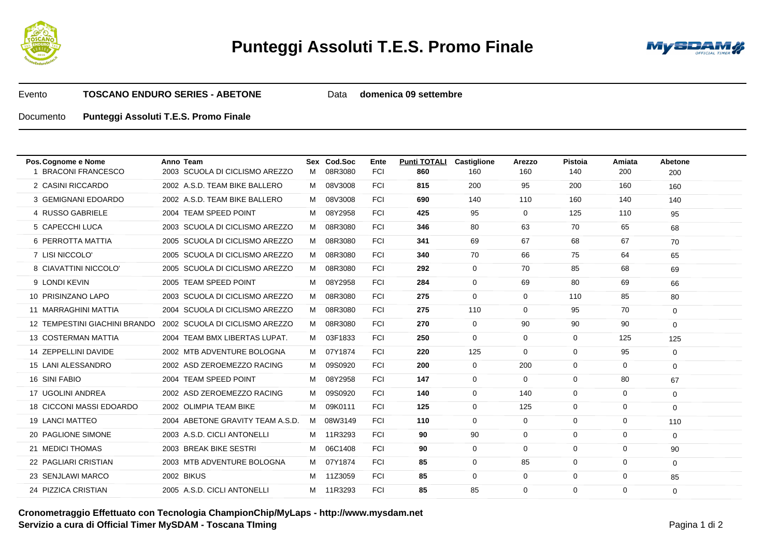



Evento**TOSCANO ENDURO SERIES - ABETONE**Data **domenica 09 settembre**

## Documento**Punteggi Assoluti T.E.S. Promo Finale**

| 2003 SCUOLA DI CICLISMO AREZZO<br><b>FCI</b><br>1 BRACONI FRANCESCO<br>08R3080<br>860<br>160<br>140<br>200<br>M<br>160<br>200<br><b>FCI</b><br>2 CASINI RICCARDO<br>2002 A.S.D. TEAM BIKE BALLERO<br>M 08V3008<br>815<br>200<br>200<br>160<br>95<br>160<br>3 GEMIGNANI EDOARDO<br>2002 A.S.D. TEAM BIKE BALLERO<br>M 08V3008<br><b>FCI</b><br>690<br>140<br>160<br>140<br>110<br>140 |  |
|--------------------------------------------------------------------------------------------------------------------------------------------------------------------------------------------------------------------------------------------------------------------------------------------------------------------------------------------------------------------------------------|--|
|                                                                                                                                                                                                                                                                                                                                                                                      |  |
|                                                                                                                                                                                                                                                                                                                                                                                      |  |
|                                                                                                                                                                                                                                                                                                                                                                                      |  |
| 4 RUSSO GABRIELE<br>2004 TEAM SPEED POINT<br>M 08Y2958<br><b>FCI</b><br>425<br>95<br>$\overline{0}$<br>125<br>110<br>95                                                                                                                                                                                                                                                              |  |
| 5 CAPECCHI LUCA<br>M 08R3080<br>2003 SCUOLA DI CICLISMO AREZZO<br><b>FCI</b><br>346<br>80<br>70<br>65<br>63<br>68                                                                                                                                                                                                                                                                    |  |
| M 08R3080<br>69<br>6 PERROTTA MATTIA<br>2005 SCUOLA DI CICLISMO AREZZO<br><b>FCI</b><br>341<br>67<br>68<br>67<br>70                                                                                                                                                                                                                                                                  |  |
| 7 LISI NICCOLO'<br>2005 SCUOLA DI CICLISMO AREZZO<br>M 08R3080<br><b>FCI</b><br>70<br>340<br>66<br>75<br>64<br>65                                                                                                                                                                                                                                                                    |  |
| 8 CIAVATTINI NICCOLO'<br>2005 SCUOLA DI CICLISMO AREZZO<br>M 08R3080<br><b>FCI</b><br>$\Omega$<br>85<br>68<br>292<br>70<br>69                                                                                                                                                                                                                                                        |  |
| 9 LONDI KEVIN<br>2005 TEAM SPEED POINT<br>08Y2958<br><b>FCI</b><br>284<br>$\Omega$<br>80<br>69<br>69<br>M<br>66                                                                                                                                                                                                                                                                      |  |
| 10 PRISINZANO LAPO<br>2003 SCUOLA DI CICLISMO AREZZO<br>M 08R3080<br><b>FCI</b><br>275<br>0<br>$\overline{0}$<br>110<br>85<br>80                                                                                                                                                                                                                                                     |  |
| 11 MARRAGHINI MATTIA<br>2004 SCUOLA DI CICLISMO AREZZO<br>M 08R3080<br><b>FCI</b><br>275<br>110<br>$\overline{0}$<br>95<br>70<br>$\Omega$                                                                                                                                                                                                                                            |  |
| M 08R3080<br><b>FCI</b><br>12 TEMPESTINI GIACHINI BRANDO<br>2002 SCUOLA DI CICLISMO AREZZO<br>270<br>$\mathbf{0}$<br>90<br>90<br>90<br>0                                                                                                                                                                                                                                             |  |
| 13 COSTERMAN MATTIA<br>2004 TEAM BMX LIBERTAS LUPAT.<br>M 03F1833<br><b>FCI</b><br>250<br>0<br>$\overline{0}$<br>0<br>125<br>125                                                                                                                                                                                                                                                     |  |
| 14 ZEPPELLINI DAVIDE<br>2002 MTB ADVENTURE BOLOGNA<br>M 07Y1874<br><b>FCI</b><br>125<br>$\overline{0}$<br>220<br>0<br>95<br>0                                                                                                                                                                                                                                                        |  |
| 15 LANI ALESSANDRO<br>2002 ASD ZEROEMEZZO RACING<br>09S0920<br><b>FCI</b><br>200<br>0<br>0<br>$\mathbf 0$<br>M<br>200<br>$\Omega$                                                                                                                                                                                                                                                    |  |
| 16 SINI FABIO<br>2004 TEAM SPEED POINT<br>08Y2958<br><b>FCI</b><br>147<br>$\mathbf{0}$<br>$\mathbf 0$<br>0<br>80<br>M<br>67                                                                                                                                                                                                                                                          |  |
| 2002 ASD ZEROEMEZZO RACING<br>17 UGOLINI ANDREA<br>09S0920<br><b>FCI</b><br>140<br>$\mathbf{0}$<br>140<br>0<br>$\mathbf 0$<br>M<br>0                                                                                                                                                                                                                                                 |  |
| 18 CICCONI MASSI EDOARDO<br>2002 OLIMPIA TEAM BIKE<br>09K0111<br>125<br><b>FCI</b><br>$\mathbf{0}$<br>125<br>0<br>$\mathbf 0$<br>M<br>$\Omega$                                                                                                                                                                                                                                       |  |
| 19 LANCI MATTEO<br>2004 ABETONE GRAVITY TEAM A.S.D.<br>08W3149<br><b>FCI</b><br>110<br>0<br>0<br>M<br>$\mathbf 0$<br>0<br>110                                                                                                                                                                                                                                                        |  |
| 2003 A.S.D. CICLI ANTONELLI<br>M 11R3293<br>90<br><b>20 PAGLIONE SIMONE</b><br><b>FCI</b><br>90<br>$\mathbf 0$<br>0<br>$\mathbf 0$<br>$\Omega$                                                                                                                                                                                                                                       |  |
| 06C1408<br>21 MEDICI THOMAS<br>2003 BREAK BIKE SESTRI<br>90<br>$\mathbf 0$<br><b>FCI</b><br>$\overline{0}$<br>0<br>$\mathbf 0$<br>M<br>90                                                                                                                                                                                                                                            |  |
| 22 PAGLIARI CRISTIAN<br>2003 MTB ADVENTURE BOLOGNA<br>M 07Y1874<br>0<br><b>FCI</b><br>85<br>85<br>$\mathbf 0$<br>$\mathbf 0$<br>$\Omega$                                                                                                                                                                                                                                             |  |
| 23 SENJLAWI MARCO<br><b>2002 BIKUS</b><br>11Z3059<br><b>FCI</b><br>85<br>0<br>$\mathbf 0$<br>0<br>0<br>M<br>85                                                                                                                                                                                                                                                                       |  |
| 2005 A.S.D. CICLI ANTONELLI<br>M 11R3293<br>24 PIZZICA CRISTIAN<br><b>FCI</b><br>85<br>85<br>0<br>0<br>$\mathbf 0$<br>0                                                                                                                                                                                                                                                              |  |